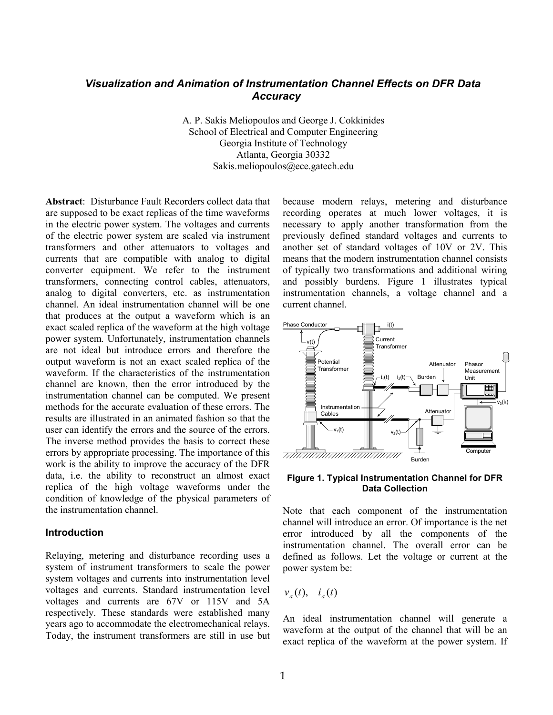# *Visualization and Animation of Instrumentation Channel Effects on DFR Data Accuracy*

A. P. Sakis Meliopoulos and George J. Cokkinides School of Electrical and Computer Engineering Georgia Institute of Technology Atlanta, Georgia 30332 Sakis.meliopoulos@ece.gatech.edu

**Abstract**: Disturbance Fault Recorders collect data that are supposed to be exact replicas of the time waveforms in the electric power system. The voltages and currents of the electric power system are scaled via instrument transformers and other attenuators to voltages and currents that are compatible with analog to digital converter equipment. We refer to the instrument transformers, connecting control cables, attenuators, analog to digital converters, etc. as instrumentation channel. An ideal instrumentation channel will be one that produces at the output a waveform which is an exact scaled replica of the waveform at the high voltage power system. Unfortunately, instrumentation channels are not ideal but introduce errors and therefore the output waveform is not an exact scaled replica of the waveform. If the characteristics of the instrumentation channel are known, then the error introduced by the instrumentation channel can be computed. We present methods for the accurate evaluation of these errors. The results are illustrated in an animated fashion so that the user can identify the errors and the source of the errors. The inverse method provides the basis to correct these errors by appropriate processing. The importance of this work is the ability to improve the accuracy of the DFR data, i.e. the ability to reconstruct an almost exact replica of the high voltage waveforms under the condition of knowledge of the physical parameters of the instrumentation channel.

### **Introduction**

Relaying, metering and disturbance recording uses a system of instrument transformers to scale the power system voltages and currents into instrumentation level voltages and currents. Standard instrumentation level voltages and currents are 67V or 115V and 5A respectively. These standards were established many years ago to accommodate the electromechanical relays. Today, the instrument transformers are still in use but because modern relays, metering and disturbance recording operates at much lower voltages, it is necessary to apply another transformation from the previously defined standard voltages and currents to another set of standard voltages of 10V or 2V. This means that the modern instrumentation channel consists of typically two transformations and additional wiring and possibly burdens. Figure 1 illustrates typical instrumentation channels, a voltage channel and a current channel.



#### **Figure 1. Typical Instrumentation Channel for DFR Data Collection**

Note that each component of the instrumentation channel will introduce an error. Of importance is the net error introduced by all the components of the instrumentation channel. The overall error can be defined as follows. Let the voltage or current at the power system be:

$$
v_a(t), \quad i_a(t)
$$

An ideal instrumentation channel will generate a waveform at the output of the channel that will be an exact replica of the waveform at the power system. If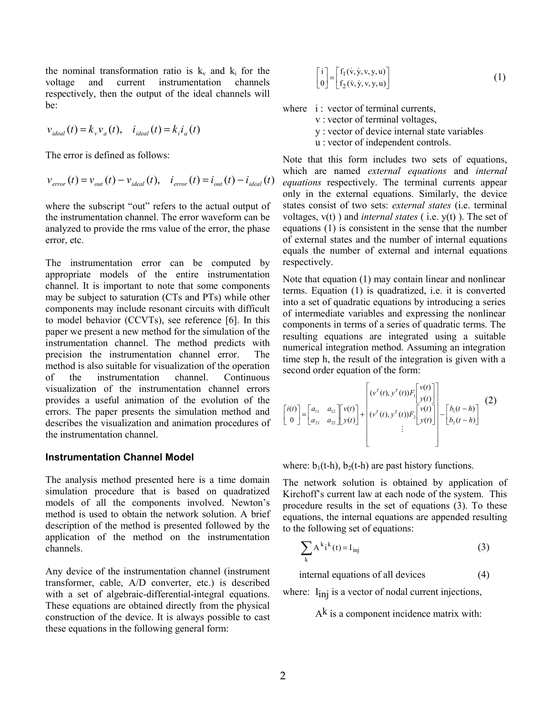the nominal transformation ratio is  $k_v$  and  $k_i$  for the voltage and current instrumentation channels respectively, then the output of the ideal channels will be:

$$
v_{ideal}(t) = k_v v_a(t), \quad i_{ideal}(t) = k_i i_a(t)
$$

The error is defined as follows:

$$
v_{\text{error}}(t) = v_{\text{out}}(t) - v_{\text{ideal}}(t), \quad i_{\text{error}}(t) = i_{\text{out}}(t) - i_{\text{ideal}}(t)
$$

where the subscript "out" refers to the actual output of the instrumentation channel. The error waveform can be analyzed to provide the rms value of the error, the phase error, etc.

The instrumentation error can be computed by appropriate models of the entire instrumentation channel. It is important to note that some components may be subject to saturation (CTs and PTs) while other components may include resonant circuits with difficult to model behavior (CCVTs), see reference [6]. In this paper we present a new method for the simulation of the instrumentation channel. The method predicts with precision the instrumentation channel error. The method is also suitable for visualization of the operation of the instrumentation channel. Continuous visualization of the instrumentation channel errors provides a useful animation of the evolution of the errors. The paper presents the simulation method and describes the visualization and animation procedures of the instrumentation channel.

### **Instrumentation Channel Model**

The analysis method presented here is a time domain simulation procedure that is based on quadratized models of all the components involved. Newton's method is used to obtain the network solution. A brief description of the method is presented followed by the application of the method on the instrumentation channels.

Any device of the instrumentation channel (instrument transformer, cable, A/D converter, etc.) is described with a set of algebraic-differential-integral equations. These equations are obtained directly from the physical construction of the device. It is always possible to cast these equations in the following general form:

$$
\begin{bmatrix} i \\ 0 \end{bmatrix} = \begin{bmatrix} f_1(v, y, v, y, u) \\ f_2(v, y, v, y, u) \end{bmatrix}
$$
 (1)

where i: vector of terminal currents,

v : vector of terminal voltages,

- y : vector of device internal state variables
- u : vector of independent controls.

Note that this form includes two sets of equations, which are named *external equations* and *internal equations* respectively. The terminal currents appear only in the external equations. Similarly, the device states consist of two sets: *external states* (i.e. terminal voltages, v(t) ) and *internal states* ( i.e. y(t) ). The set of equations (1) is consistent in the sense that the number of external states and the number of internal equations equals the number of external and internal equations respectively.

Note that equation (1) may contain linear and nonlinear terms. Equation (1) is quadratized, i.e. it is converted into a set of quadratic equations by introducing a series of intermediate variables and expressing the nonlinear components in terms of a series of quadratic terms. The resulting equations are integrated using a suitable numerical integration method. Assuming an integration time step h, the result of the integration is given with a second order equation of the form:

$$
\begin{bmatrix} i(t) \\ 0 \end{bmatrix} = \begin{bmatrix} a_{11} & a_{12} \\ a_{21} & a_{22} \end{bmatrix} \begin{bmatrix} v(t) \\ v(t) \end{bmatrix} + \begin{bmatrix} v(t) \\ v(t) \\ v(t) \end{bmatrix} \begin{bmatrix} v(t) \\ v(t) \\ v(t) \end{bmatrix} = \begin{bmatrix} b_1(t-h) \\ b_2(t-h) \end{bmatrix}
$$
 (2)

where:  $b_1(t-h)$ ,  $b_2(t-h)$  are past history functions.

The network solution is obtained by application of Kirchoff's current law at each node of the system. This procedure results in the set of equations (3). To these equations, the internal equations are appended resulting to the following set of equations:

$$
\sum_{k} A^{k} i^{k}(t) = I_{\text{inj}}
$$
 (3)

internal equations of all devices (4)

where:  $I_{\text{inj}}$  is a vector of nodal current injections,

 $A<sup>k</sup>$  is a component incidence matrix with:

 $\mathbf{I}$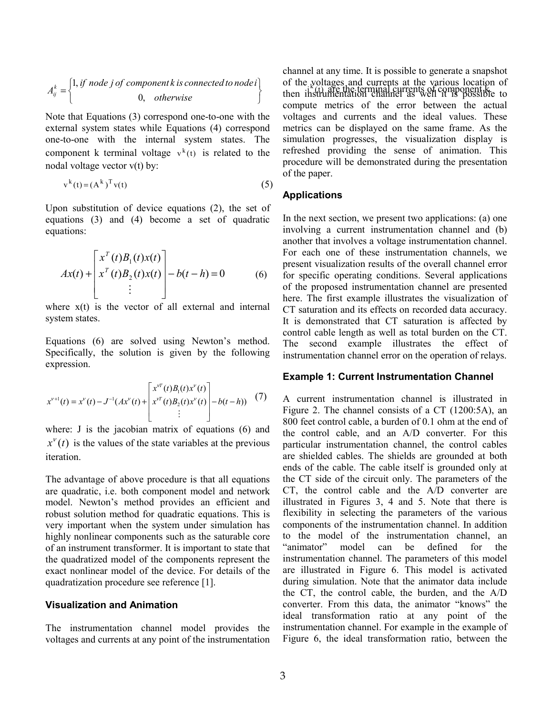$$
A_{ij}^{k} = \begin{cases} 1, if \ node \ j \ of \ component \ k \ is \ connected \ to \ node \ i \\ 0, \ otherwise \end{cases}
$$

Note that Equations (3) correspond one-to-one with the external system states while Equations (4) correspond one-to-one with the internal system states. The component k terminal voltage  $v^k(t)$  is related to the nodal voltage vector v(t) by:

$$
\mathbf{v}^{\mathbf{k}}(\mathbf{t}) = (\mathbf{A}^{\mathbf{k}})^{\mathrm{T}} \mathbf{v}(\mathbf{t})
$$
 (5)

Upon substitution of device equations (2), the set of equations (3) and (4) become a set of quadratic equations:

$$
Ax(t) + \begin{bmatrix} x^T(t)B_1(t)x(t) \\ x^T(t)B_2(t)x(t) \\ \vdots \end{bmatrix} - b(t-h) = 0 \qquad (6)
$$

where  $x(t)$  is the vector of all external and internal system states.

Equations (6) are solved using Newton's method. Specifically, the solution is given by the following expression.

$$
x^{\nu+1}(t) = x^{\nu}(t) - J^{-1}(Ax^{\nu}(t)) + \begin{bmatrix} x^{\nu}^{T}(t)B_{1}(t)x^{\nu}(t) \\ x^{\nu}^{T}(t)B_{2}(t)x^{\nu}(t) \\ \vdots \end{bmatrix} - b(t-h)) \quad (7)
$$

where: J is the jacobian matrix of equations (6) and  $x^{\nu}(t)$  is the values of the state variables at the previous iteration.

The advantage of above procedure is that all equations are quadratic, i.e. both component model and network model. Newton's method provides an efficient and robust solution method for quadratic equations. This is very important when the system under simulation has highly nonlinear components such as the saturable core of an instrument transformer. It is important to state that the quadratized model of the components represent the exact nonlinear model of the device. For details of the quadratization procedure see reference [1].

### **Visualization and Animation**

The instrumentation channel model provides the voltages and currents at any point of the instrumentation

1, if node *j* of component k is connected to node i of the voltages and currents at the various location of then instrumentation channel as well it is possible to  $\alpha$  otherwise channel at any time. It is possible to generate a snapshot of the voltages and currents at the various location of compute metrics of the error between the actual voltages and currents and the ideal values. These metrics can be displayed on the same frame. As the simulation progresses, the visualization display is refreshed providing the sense of animation. This procedure will be demonstrated during the presentation of the paper.

### **Applications**

In the next section, we present two applications: (a) one involving a current instrumentation channel and (b) another that involves a voltage instrumentation channel. For each one of these instrumentation channels, we present visualization results of the overall channel error for specific operating conditions. Several applications of the proposed instrumentation channel are presented here. The first example illustrates the visualization of CT saturation and its effects on recorded data accuracy. It is demonstrated that CT saturation is affected by control cable length as well as total burden on the CT. The second example illustrates the effect of instrumentation channel error on the operation of relays.

### **Example 1: Current Instrumentation Channel**

A current instrumentation channel is illustrated in Figure 2. The channel consists of a CT (1200:5A), an 800 feet control cable, a burden of 0.1 ohm at the end of the control cable, and an A/D converter. For this particular instrumentation channel, the control cables are shielded cables. The shields are grounded at both ends of the cable. The cable itself is grounded only at the CT side of the circuit only. The parameters of the CT, the control cable and the A/D converter are illustrated in Figures 3, 4 and 5. Note that there is flexibility in selecting the parameters of the various components of the instrumentation channel. In addition to the model of the instrumentation channel, an "animator" model can be defined for the instrumentation channel. The parameters of this model are illustrated in Figure 6. This model is activated during simulation. Note that the animator data include the CT, the control cable, the burden, and the A/D converter. From this data, the animator "knows" the ideal transformation ratio at any point of the instrumentation channel. For example in the example of Figure 6, the ideal transformation ratio, between the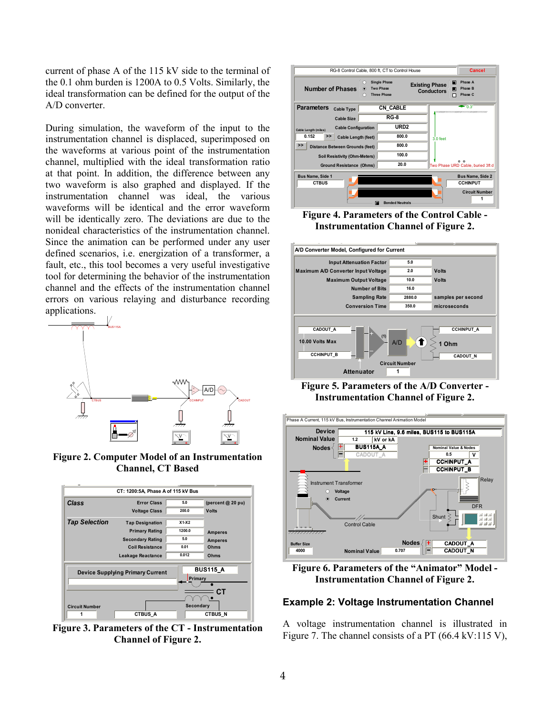current of phase A of the 115 kV side to the terminal of the 0.1 ohm burden is 1200A to 0.5 Volts. Similarly, the ideal transformation can be defined for the output of the A/D converter.

During simulation, the waveform of the input to the instrumentation channel is displaced, superimposed on the waveforms at various point of the instrumentation channel, multiplied with the ideal transformation ratio at that point. In addition, the difference between any two waveform is also graphed and displayed. If the instrumentation channel was ideal, the various waveforms will be identical and the error waveform will be identically zero. The deviations are due to the nonideal characteristics of the instrumentation channel. Since the animation can be performed under any user defined scenarios, i.e. energization of a transformer, a fault, etc., this tool becomes a very useful investigative tool for determining the behavior of the instrumentation channel and the effects of the instrumentation channel errors on various relaying and disturbance recording applications.



**Figure 2. Computer Model of an Instrumentation Channel, CT Based** 



**Figure 3. Parameters of the CT - Instrumentation Channel of Figure 2.** 



**Figure 4. Parameters of the Control Cable - Instrumentation Channel of Figure 2.** 



**Figure 5. Parameters of the A/D Converter - Instrumentation Channel of Figure 2.** 



**Figure 6. Parameters of the "Animator" Model - Instrumentation Channel of Figure 2.** 

### **Example 2: Voltage Instrumentation Channel**

A voltage instrumentation channel is illustrated in Figure 7. The channel consists of a PT (66.4 kV:115 V),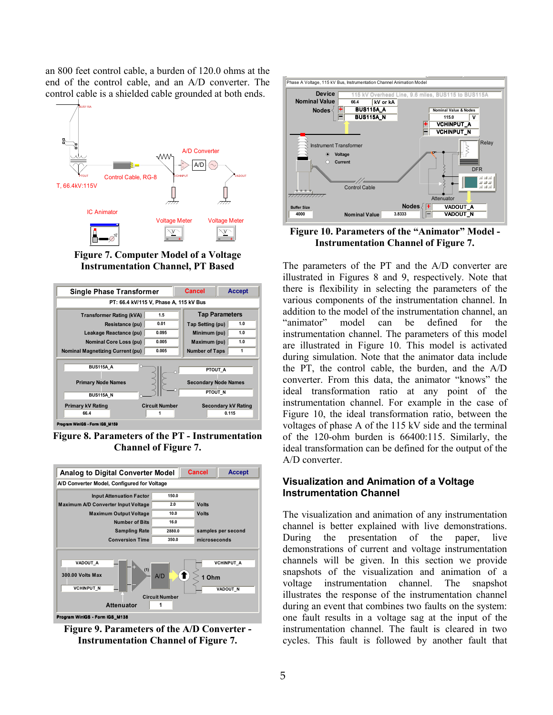an 800 feet control cable, a burden of 120.0 ohms at the end of the control cable, and an A/D converter. The control cable is a shielded cable grounded at both ends.



**Figure 7. Computer Model of a Voltage Instrumentation Channel, PT Based** 



**Figure 8. Parameters of the PT - Instrumentation Channel of Figure 7.** 



**Figure 9. Parameters of the A/D Converter - Instrumentation Channel of Figure 7.** 



**Figure 10. Parameters of the "Animator" Model - Instrumentation Channel of Figure 7.** 

The parameters of the PT and the A/D converter are illustrated in Figures 8 and 9, respectively. Note that there is flexibility in selecting the parameters of the various components of the instrumentation channel. In addition to the model of the instrumentation channel, an "animator" model can be defined for the instrumentation channel. The parameters of this model are illustrated in Figure 10. This model is activated during simulation. Note that the animator data include the PT, the control cable, the burden, and the A/D converter. From this data, the animator "knows" the ideal transformation ratio at any point of the instrumentation channel. For example in the case of Figure 10, the ideal transformation ratio, between the voltages of phase A of the 115 kV side and the terminal of the 120-ohm burden is 66400:115. Similarly, the ideal transformation can be defined for the output of the A/D converter.

## **Visualization and Animation of a Voltage Instrumentation Channel**

The visualization and animation of any instrumentation channel is better explained with live demonstrations. During the presentation of the paper, live demonstrations of current and voltage instrumentation channels will be given. In this section we provide snapshots of the visualization and animation of a voltage instrumentation channel. The snapshot illustrates the response of the instrumentation channel during an event that combines two faults on the system: one fault results in a voltage sag at the input of the instrumentation channel. The fault is cleared in two cycles. This fault is followed by another fault that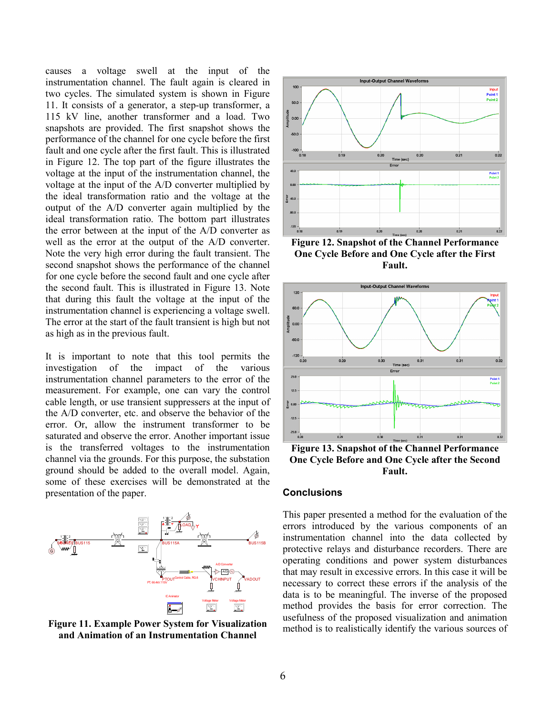causes a voltage swell at the input of the instrumentation channel. The fault again is cleared in two cycles. The simulated system is shown in Figure 11. It consists of a generator, a step-up transformer, a 115 kV line, another transformer and a load. Two snapshots are provided. The first snapshot shows the performance of the channel for one cycle before the first fault and one cycle after the first fault. This is illustrated in Figure 12. The top part of the figure illustrates the voltage at the input of the instrumentation channel, the voltage at the input of the A/D converter multiplied by the ideal transformation ratio and the voltage at the output of the A/D converter again multiplied by the ideal transformation ratio. The bottom part illustrates the error between at the input of the A/D converter as well as the error at the output of the A/D converter. Note the very high error during the fault transient. The second snapshot shows the performance of the channel for one cycle before the second fault and one cycle after the second fault. This is illustrated in Figure 13. Note that during this fault the voltage at the input of the instrumentation channel is experiencing a voltage swell. The error at the start of the fault transient is high but not as high as in the previous fault.

It is important to note that this tool permits the investigation of the impact of the various instrumentation channel parameters to the error of the measurement. For example, one can vary the control cable length, or use transient suppressers at the input of the A/D converter, etc. and observe the behavior of the error. Or, allow the instrument transformer to be saturated and observe the error. Another important issue is the transferred voltages to the instrumentation channel via the grounds. For this purpose, the substation ground should be added to the overall model. Again, some of these exercises will be demonstrated at the presentation of the paper.







**Figure 12. Snapshot of the Channel Performance One Cycle Before and One Cycle after the First Fault.** 



**Figure 13. Snapshot of the Channel Performance One Cycle Before and One Cycle after the Second Fault.** 

#### **Conclusions**

This paper presented a method for the evaluation of the errors introduced by the various components of an instrumentation channel into the data collected by protective relays and disturbance recorders. There are operating conditions and power system disturbances that may result in excessive errors. In this case it will be necessary to correct these errors if the analysis of the data is to be meaningful. The inverse of the proposed method provides the basis for error correction. The usefulness of the proposed visualization and animation method is to realistically identify the various sources of